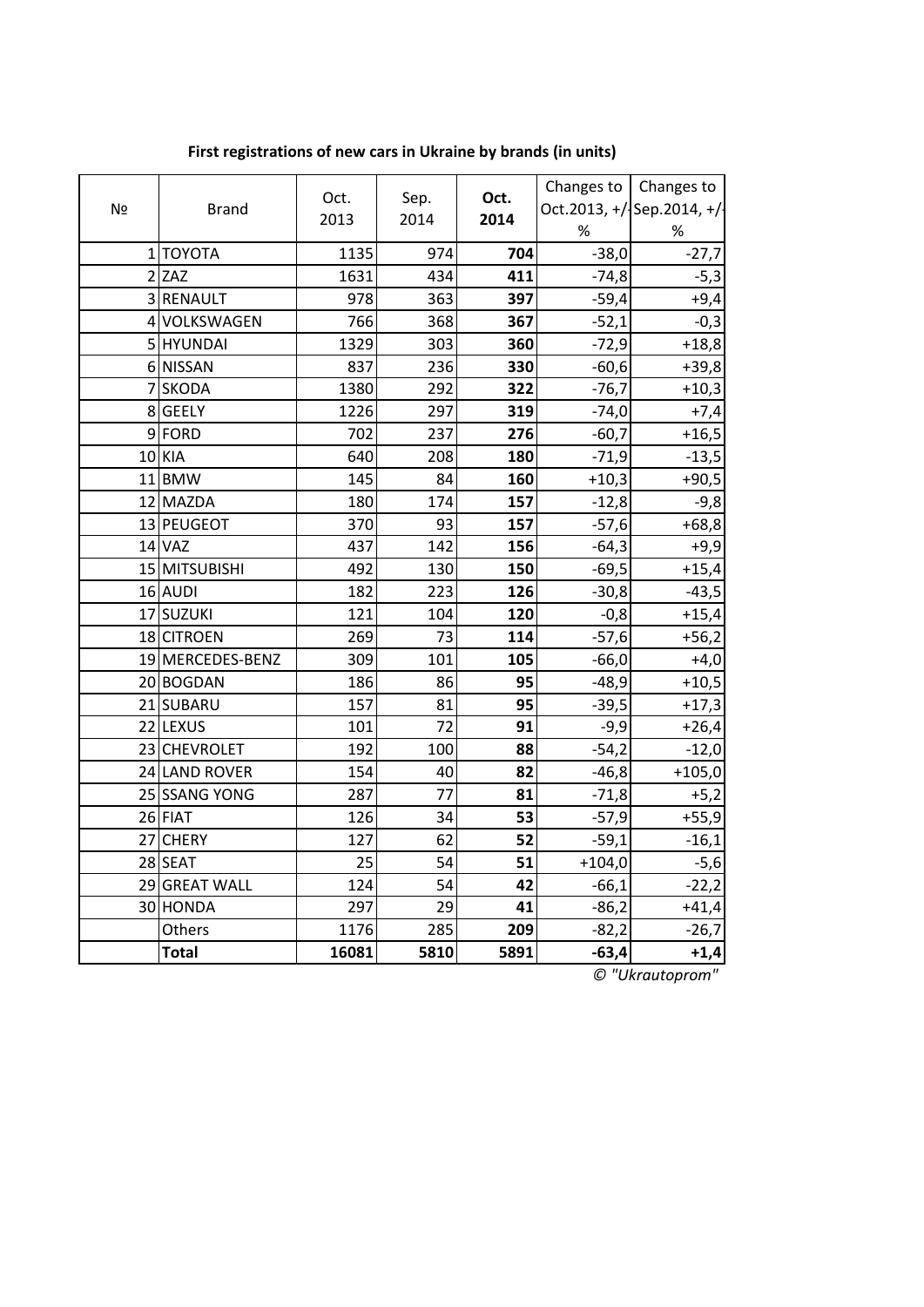| Nº | <b>Brand</b>     | Oct.<br>2013 | Sep.<br>2014 | Oct.<br>2014 | $\%$     | Changes to $\vert$ Changes to<br>Oct.2013, +/ Sep.2014, +/<br>% |
|----|------------------|--------------|--------------|--------------|----------|-----------------------------------------------------------------|
|    | 1 ΤΟΥΟΤΑ         | 1135         | 974          | 704          | $-38,0$  | $-27,7$                                                         |
|    | $2$ ZAZ          | 1631         | 434          | 411          | $-74,8$  | $-5,3$                                                          |
|    | 3 RENAULT        | 978          | 363          | 397          | $-59,4$  | $+9,4$                                                          |
|    | 4 VOLKSWAGEN     | 766          | 368          | 367          | $-52,1$  | $-0,3$                                                          |
|    | 5 HYUNDAI        | 1329         | 303          | 360          | $-72,9$  | $+18,8$                                                         |
|    | 6 NISSAN         | 837          | 236          | 330          | $-60,6$  | $+39,8$                                                         |
|    | 7 SKODA          | 1380         | 292          | 322          | $-76,7$  | $+10,3$                                                         |
|    | 8 GEELY          | 1226         | 297          | 319          | $-74,0$  | $+7,4$                                                          |
|    | 9FORD            | 702          | 237          | 276          | $-60,7$  | $+16,5$                                                         |
|    | 10 KIA           | 640          | 208          | 180          | $-71,9$  | $-13,5$                                                         |
|    | 11BMW            | 145          | 84           | 160          | $+10,3$  | $+90,5$                                                         |
|    | 12 MAZDA         | 180          | 174          | 157          | $-12,8$  | $-9,8$                                                          |
|    | 13 PEUGEOT       | 370          | 93           | 157          | $-57,6$  | $+68,8$                                                         |
|    | $14$ VAZ         | 437          | 142          | 156          | $-64,3$  | $+9,9$                                                          |
|    | 15 MITSUBISHI    | 492          | 130          | 150          | $-69,5$  | $+15,4$                                                         |
|    | 16 AUDI          | 182          | 223          | 126          | $-30,8$  | $-43,5$                                                         |
|    | 17 SUZUKI        | 121          | 104          | 120          | $-0,8$   | $+15,4$                                                         |
|    | 18 CITROEN       | 269          | 73           | 114          | $-57,6$  | $+56,2$                                                         |
|    | 19 MERCEDES-BENZ | 309          | 101          | 105          | $-66,0$  | $+4,0$                                                          |
|    | 20 BOGDAN        | 186          | 86           | 95           | $-48,9$  | $+10,5$                                                         |
|    | 21 SUBARU        | 157          | 81           | 95           | $-39,5$  | $+17,3$                                                         |
|    | 22 LEXUS         | 101          | 72           | 91           | $-9,9$   | $+26,4$                                                         |
|    | 23 CHEVROLET     | 192          | 100          | 88           | $-54,2$  | $-12,0$                                                         |
|    | 24 LAND ROVER    | 154          | 40           | 82           | $-46,8$  | $+105,0$                                                        |
|    | 25 SSANG YONG    | 287          | 77           | 81           | $-71,8$  | $+5,2$                                                          |
|    | $26$ FIAT        | 126          | 34           | 53           | $-57,9$  | $+55,9$                                                         |
|    | 27 CHERY         | 127          | 62           | 52           | $-59,1$  | $-16,1$                                                         |
|    | 28 SEAT          | 25           | 54           | 51           | $+104,0$ | $-5,6$                                                          |
|    | 29 GREAT WALL    | 124          | 54           | 42           | $-66,1$  | $-22,2$                                                         |
|    | 30 HONDA         | 297          | 29           | 41           | $-86,2$  | $+41,4$                                                         |
|    | Others           | 1176         | 285          | 209          | $-82,2$  | $-26,7$                                                         |
|    | <b>Total</b>     | 16081        | 5810         | 5891         | $-63,4$  | $+1,4$                                                          |

**First registrations of new cars in Ukraine by brands (in units)**

*© "Ukrautoprom"*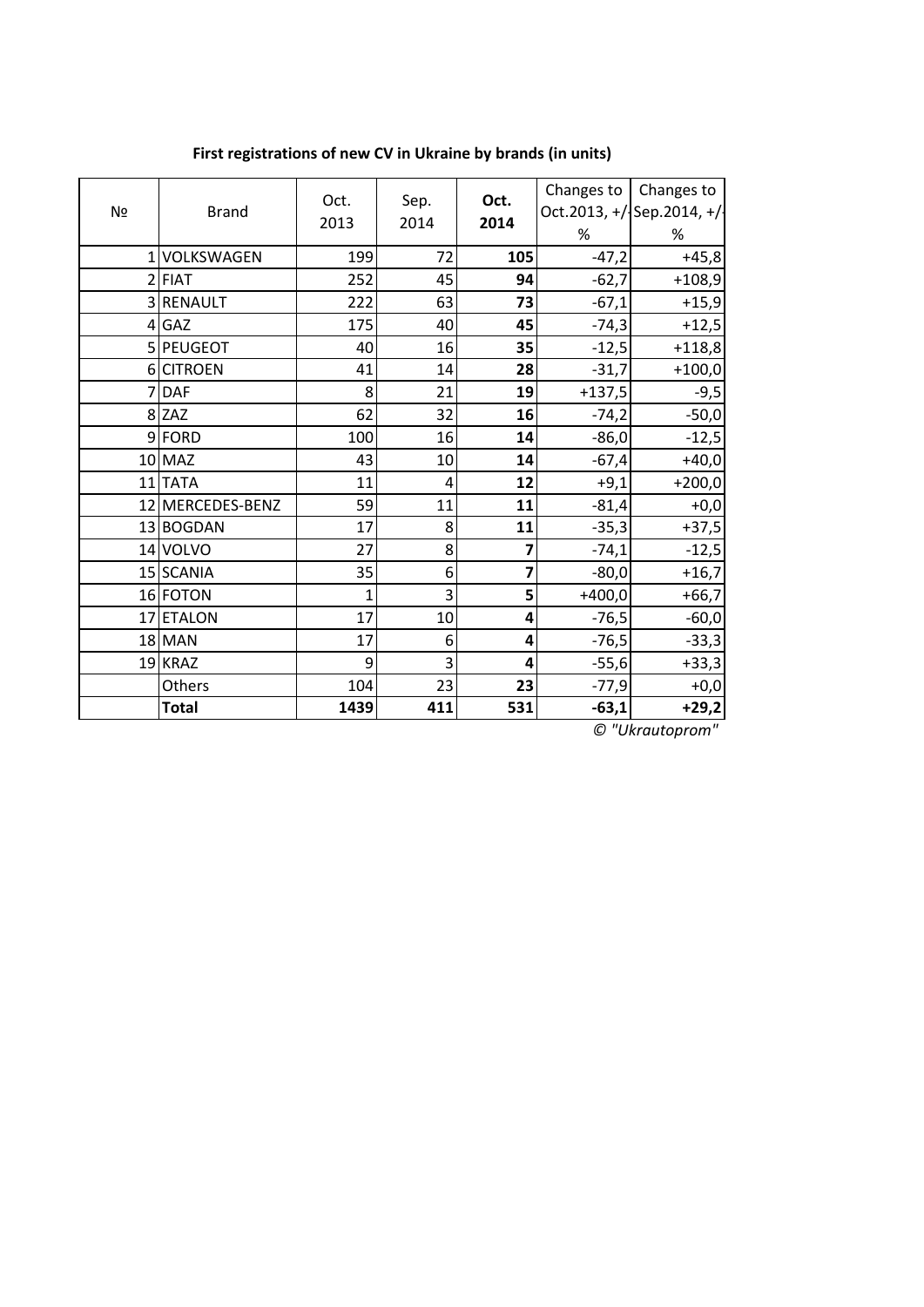| Nº | <b>Brand</b>     | Oct.<br>2013 | Sep.<br>2014     | Oct.<br>2014   | Changes to $\vert$<br>% | Changes to<br>Oct.2013, +/ Sep.2014, +/<br>% |
|----|------------------|--------------|------------------|----------------|-------------------------|----------------------------------------------|
|    | 1 VOLKSWAGEN     | 199          | 72               | 105            | $-47,2$                 | $+45,8$                                      |
|    | $2$ FIAT         | 252          | 45               | 94             | $-62,7$                 | $+108,9$                                     |
|    | 3 RENAULT        | 222          | 63               | 73             | $-67,1$                 | $+15,9$                                      |
|    | $4$ GAZ          | 175          | 40               | 45             | $-74,3$                 | $+12,5$                                      |
|    | 5 PEUGEOT        | 40           | 16               | 35             | $-12,5$                 | $+118,8$                                     |
|    | 6 CITROEN        | 41           | 14               | 28             | $-31,7$                 | $+100,0$                                     |
|    | 7 DAF            | 8            | 21               | 19             | $+137,5$                | $-9,5$                                       |
|    | $8$ ZAZ          | 62           | 32               | 16             | $-74,2$                 | $-50,0$                                      |
|    | 9FORD            | 100          | 16               | 14             | $-86,0$                 | $-12,5$                                      |
|    | 10 MAZ           | 43           | 10               | 14             | $-67,4$                 | $+40,0$                                      |
|    | 11TATA           | 11           | 4                | 12             | $+9,1$                  | $+200,0$                                     |
|    | 12 MERCEDES-BENZ | 59           | 11               | 11             | $-81,4$                 | $+0,0$                                       |
|    | 13 BOGDAN        | 17           | 8                | 11             | $-35,3$                 | $+37,5$                                      |
|    | 14 VOLVO         | 27           | 8                | 7              | $-74,1$                 | $-12,5$                                      |
|    | 15 SCANIA        | 35           | $6 \overline{6}$ | $\overline{7}$ | $-80,0$                 | $+16,7$                                      |
|    | 16 FOTON         | 1            | 3                | 5 <sup>1</sup> | $+400,0$                | $+66,7$                                      |
|    | 17 ETALON        | 17           | 10               | 4              | $-76,5$                 | $-60,0$                                      |
|    | $18$ MAN         | 17           | 6                | 4              | $-76,5$                 | $-33,3$                                      |
|    | 19 KRAZ          | 9            | 3                | 4              | $-55,6$                 | $+33,3$                                      |
|    | Others           | 104          | 23               | 23             | $-77,9$                 | $+0,0$                                       |
|    | <b>Total</b>     | 1439         | 411              | 531            | $-63,1$                 | $+29,2$                                      |

**First registrations of new CV in Ukraine by brands (in units)**

*© "Ukrautoprom"*